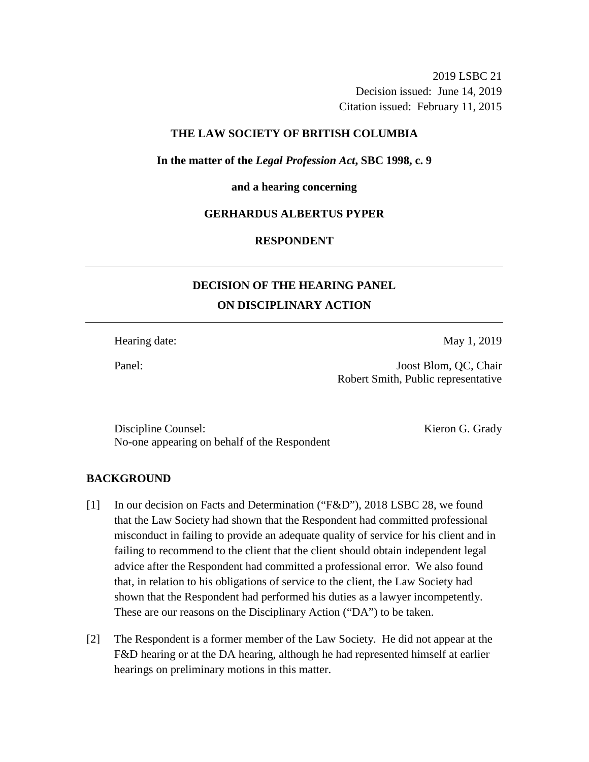2019 LSBC 21 Decision issued: June 14, 2019 Citation issued: February 11, 2015

# **THE LAW SOCIETY OF BRITISH COLUMBIA**

**In the matter of the** *Legal Profession Act***, SBC 1998, c. 9** 

#### **and a hearing concerning**

# **GERHARDUS ALBERTUS PYPER**

# **RESPONDENT**

# **DECISION OF THE HEARING PANEL ON DISCIPLINARY ACTION**

Hearing date: May 1, 2019

Panel: Joost Blom, QC, Chair Robert Smith, Public representative

Discipline Counsel: Kieron G. Grady No-one appearing on behalf of the Respondent

# **BACKGROUND**

- [1] In our decision on Facts and Determination ("F&D"), 2018 LSBC 28, we found that the Law Society had shown that the Respondent had committed professional misconduct in failing to provide an adequate quality of service for his client and in failing to recommend to the client that the client should obtain independent legal advice after the Respondent had committed a professional error. We also found that, in relation to his obligations of service to the client, the Law Society had shown that the Respondent had performed his duties as a lawyer incompetently. These are our reasons on the Disciplinary Action ("DA") to be taken.
- [2] The Respondent is a former member of the Law Society. He did not appear at the F&D hearing or at the DA hearing, although he had represented himself at earlier hearings on preliminary motions in this matter.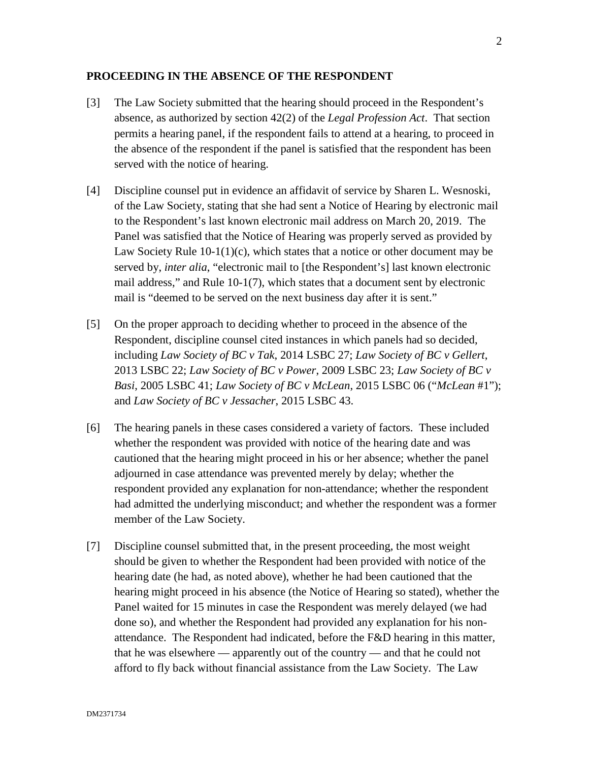### **PROCEEDING IN THE ABSENCE OF THE RESPONDENT**

- [3] The Law Society submitted that the hearing should proceed in the Respondent's absence, as authorized by section 42(2) of the *Legal Profession Act*. That section permits a hearing panel, if the respondent fails to attend at a hearing, to proceed in the absence of the respondent if the panel is satisfied that the respondent has been served with the notice of hearing.
- [4] Discipline counsel put in evidence an affidavit of service by Sharen L. Wesnoski, of the Law Society, stating that she had sent a Notice of Hearing by electronic mail to the Respondent's last known electronic mail address on March 20, 2019. The Panel was satisfied that the Notice of Hearing was properly served as provided by Law Society Rule 10-1(1)(c), which states that a notice or other document may be served by, *inter alia*, "electronic mail to [the Respondent's] last known electronic mail address," and Rule 10-1(7), which states that a document sent by electronic mail is "deemed to be served on the next business day after it is sent."
- [5] On the proper approach to deciding whether to proceed in the absence of the Respondent, discipline counsel cited instances in which panels had so decided, including *Law Society of BC v Tak*, 2014 LSBC 27; *Law Society of BC v Gellert*, 2013 LSBC 22; *Law Society of BC v Power*, 2009 LSBC 23; *Law Society of BC v Basi*, 2005 LSBC 41; *Law Society of BC v McLean*, 2015 LSBC 06 ("*McLean* #1"); and *Law Society of BC v Jessacher*, 2015 LSBC 43.
- [6] The hearing panels in these cases considered a variety of factors. These included whether the respondent was provided with notice of the hearing date and was cautioned that the hearing might proceed in his or her absence; whether the panel adjourned in case attendance was prevented merely by delay; whether the respondent provided any explanation for non-attendance; whether the respondent had admitted the underlying misconduct; and whether the respondent was a former member of the Law Society.
- [7] Discipline counsel submitted that, in the present proceeding, the most weight should be given to whether the Respondent had been provided with notice of the hearing date (he had, as noted above), whether he had been cautioned that the hearing might proceed in his absence (the Notice of Hearing so stated), whether the Panel waited for 15 minutes in case the Respondent was merely delayed (we had done so), and whether the Respondent had provided any explanation for his nonattendance. The Respondent had indicated, before the F&D hearing in this matter, that he was elsewhere — apparently out of the country — and that he could not afford to fly back without financial assistance from the Law Society. The Law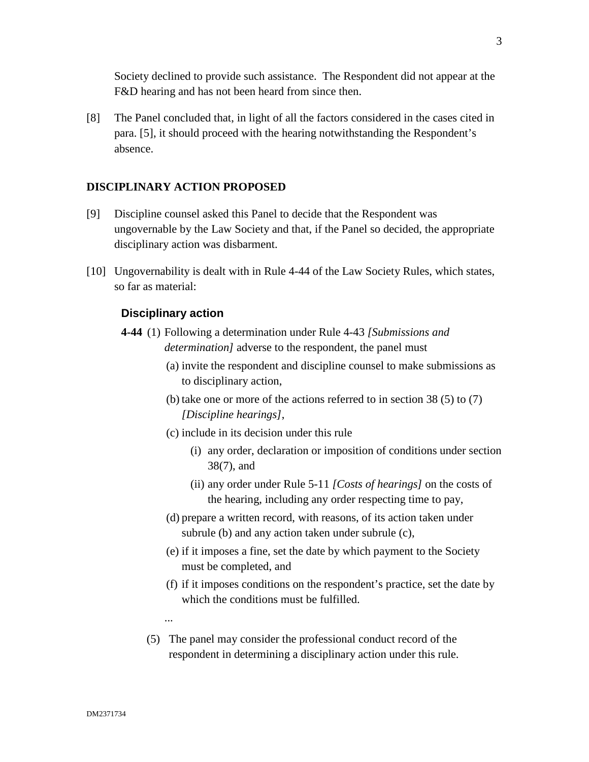Society declined to provide such assistance. The Respondent did not appear at the F&D hearing and has not been heard from since then.

[8] The Panel concluded that, in light of all the factors considered in the cases cited in para. [5], it should proceed with the hearing notwithstanding the Respondent's absence.

# **DISCIPLINARY ACTION PROPOSED**

- [9] Discipline counsel asked this Panel to decide that the Respondent was ungovernable by the Law Society and that, if the Panel so decided, the appropriate disciplinary action was disbarment.
- [10] Ungovernability is dealt with in Rule 4-44 of the Law Society Rules, which states, so far as material:

# **Disciplinary action**

- **4-44** (1) Following a determination under Rule 4-43 *[Submissions and determination]* adverse to the respondent, the panel must
	- (a) invite the respondent and discipline counsel to make submissions as to disciplinary action,
	- (b) take one or more of the actions referred to in section 38 (5) to (7) *[Discipline hearings]*,
	- (c) include in its decision under this rule
		- (i) any order, declaration or imposition of conditions under section 38(7), and
		- (ii) any order under Rule 5-11 *[Costs of hearings]* on the costs of the hearing, including any order respecting time to pay,
	- (d) prepare a written record, with reasons, of its action taken under subrule (b) and any action taken under subrule (c),
	- (e) if it imposes a fine, set the date by which payment to the Society must be completed, and
	- (f) if it imposes conditions on the respondent's practice, set the date by which the conditions must be fulfilled.
	- ...
	- (5) The panel may consider the professional conduct record of the respondent in determining a disciplinary action under this rule.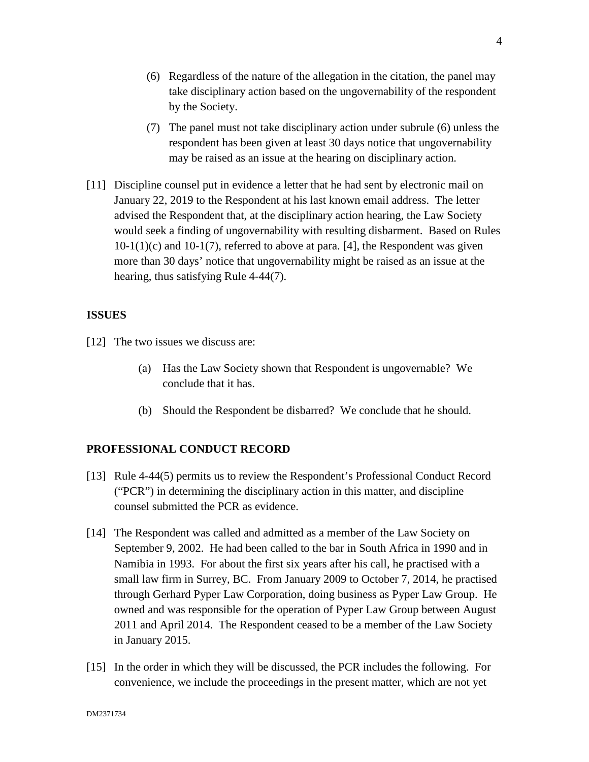- (6) Regardless of the nature of the allegation in the citation, the panel may take disciplinary action based on the ungovernability of the respondent by the Society.
- (7) The panel must not take disciplinary action under subrule (6) unless the respondent has been given at least 30 days notice that ungovernability may be raised as an issue at the hearing on disciplinary action.
- [11] Discipline counsel put in evidence a letter that he had sent by electronic mail on January 22, 2019 to the Respondent at his last known email address. The letter advised the Respondent that, at the disciplinary action hearing, the Law Society would seek a finding of ungovernability with resulting disbarment. Based on Rules  $10-1(1)(c)$  and  $10-1(7)$ , referred to above at para. [4], the Respondent was given more than 30 days' notice that ungovernability might be raised as an issue at the hearing, thus satisfying Rule 4-44(7).

# **ISSUES**

- [12] The two issues we discuss are:
	- (a) Has the Law Society shown that Respondent is ungovernable? We conclude that it has.
	- (b) Should the Respondent be disbarred? We conclude that he should.

# **PROFESSIONAL CONDUCT RECORD**

- [13] Rule 4-44(5) permits us to review the Respondent's Professional Conduct Record ("PCR") in determining the disciplinary action in this matter, and discipline counsel submitted the PCR as evidence.
- [14] The Respondent was called and admitted as a member of the Law Society on September 9, 2002. He had been called to the bar in South Africa in 1990 and in Namibia in 1993. For about the first six years after his call, he practised with a small law firm in Surrey, BC. From January 2009 to October 7, 2014, he practised through Gerhard Pyper Law Corporation, doing business as Pyper Law Group. He owned and was responsible for the operation of Pyper Law Group between August 2011 and April 2014. The Respondent ceased to be a member of the Law Society in January 2015.
- [15] In the order in which they will be discussed, the PCR includes the following. For convenience, we include the proceedings in the present matter, which are not yet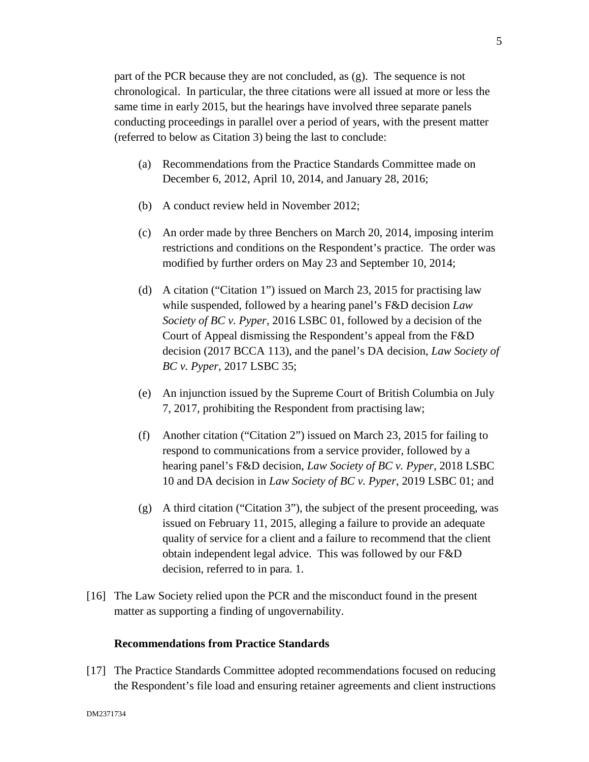part of the PCR because they are not concluded, as (g). The sequence is not chronological. In particular, the three citations were all issued at more or less the same time in early 2015, but the hearings have involved three separate panels conducting proceedings in parallel over a period of years, with the present matter (referred to below as Citation 3) being the last to conclude:

- (a) Recommendations from the Practice Standards Committee made on December 6, 2012, April 10, 2014, and January 28, 2016;
- (b) A conduct review held in November 2012;
- (c) An order made by three Benchers on March 20, 2014, imposing interim restrictions and conditions on the Respondent's practice. The order was modified by further orders on May 23 and September 10, 2014;
- (d) A citation ("Citation 1") issued on March 23, 2015 for practising law while suspended, followed by a hearing panel's F&D decision *Law Society of BC v. Pyper,* 2016 LSBC 01, followed by a decision of the Court of Appeal dismissing the Respondent's appeal from the F&D decision (2017 BCCA 113), and the panel's DA decision, *Law Society of BC v. Pyper,* 2017 LSBC 35;
- (e) An injunction issued by the Supreme Court of British Columbia on July 7, 2017, prohibiting the Respondent from practising law;
- (f) Another citation ("Citation 2") issued on March 23, 2015 for failing to respond to communications from a service provider, followed by a hearing panel's F&D decision, *Law Society of BC v. Pyper*, 2018 LSBC 10 and DA decision in *Law Society of BC v. Pyper*, 2019 LSBC 01; and
- (g) A third citation ("Citation 3"), the subject of the present proceeding, was issued on February 11, 2015, alleging a failure to provide an adequate quality of service for a client and a failure to recommend that the client obtain independent legal advice. This was followed by our F&D decision, referred to in para. 1.
- [16] The Law Society relied upon the PCR and the misconduct found in the present matter as supporting a finding of ungovernability.

# **Recommendations from Practice Standards**

[17] The Practice Standards Committee adopted recommendations focused on reducing the Respondent's file load and ensuring retainer agreements and client instructions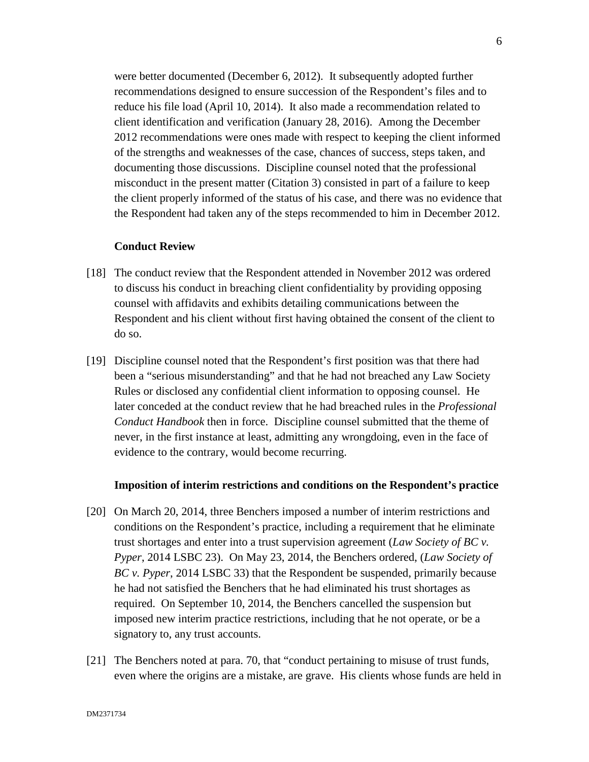were better documented (December 6, 2012). It subsequently adopted further recommendations designed to ensure succession of the Respondent's files and to reduce his file load (April 10, 2014). It also made a recommendation related to client identification and verification (January 28, 2016). Among the December 2012 recommendations were ones made with respect to keeping the client informed of the strengths and weaknesses of the case, chances of success, steps taken, and documenting those discussions. Discipline counsel noted that the professional misconduct in the present matter (Citation 3) consisted in part of a failure to keep the client properly informed of the status of his case, and there was no evidence that the Respondent had taken any of the steps recommended to him in December 2012.

#### **Conduct Review**

- [18] The conduct review that the Respondent attended in November 2012 was ordered to discuss his conduct in breaching client confidentiality by providing opposing counsel with affidavits and exhibits detailing communications between the Respondent and his client without first having obtained the consent of the client to do so.
- [19] Discipline counsel noted that the Respondent's first position was that there had been a "serious misunderstanding" and that he had not breached any Law Society Rules or disclosed any confidential client information to opposing counsel. He later conceded at the conduct review that he had breached rules in the *Professional Conduct Handbook* then in force. Discipline counsel submitted that the theme of never, in the first instance at least, admitting any wrongdoing, even in the face of evidence to the contrary, would become recurring.

#### **Imposition of interim restrictions and conditions on the Respondent's practice**

- [20] On March 20, 2014, three Benchers imposed a number of interim restrictions and conditions on the Respondent's practice, including a requirement that he eliminate trust shortages and enter into a trust supervision agreement (*Law Society of BC v. Pyper*, 2014 LSBC 23). On May 23, 2014, the Benchers ordered, (*Law Society of BC v. Pyper*, 2014 LSBC 33) that the Respondent be suspended, primarily because he had not satisfied the Benchers that he had eliminated his trust shortages as required. On September 10, 2014, the Benchers cancelled the suspension but imposed new interim practice restrictions, including that he not operate, or be a signatory to, any trust accounts.
- [21] The Benchers noted at para. 70, that "conduct pertaining to misuse of trust funds, even where the origins are a mistake, are grave. His clients whose funds are held in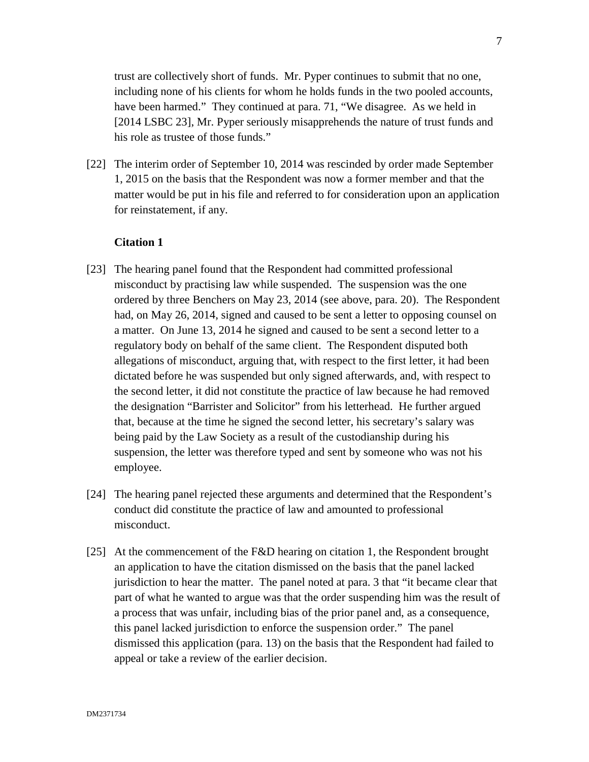trust are collectively short of funds. Mr. Pyper continues to submit that no one, including none of his clients for whom he holds funds in the two pooled accounts, have been harmed." They continued at para. 71, "We disagree. As we held in [2014 LSBC 23], Mr. Pyper seriously misapprehends the nature of trust funds and his role as trustee of those funds."

[22] The interim order of September 10, 2014 was rescinded by order made September 1, 2015 on the basis that the Respondent was now a former member and that the matter would be put in his file and referred to for consideration upon an application for reinstatement, if any.

#### **Citation 1**

- [23] The hearing panel found that the Respondent had committed professional misconduct by practising law while suspended. The suspension was the one ordered by three Benchers on May 23, 2014 (see above, para. 20). The Respondent had, on May 26, 2014, signed and caused to be sent a letter to opposing counsel on a matter. On June 13, 2014 he signed and caused to be sent a second letter to a regulatory body on behalf of the same client. The Respondent disputed both allegations of misconduct, arguing that, with respect to the first letter, it had been dictated before he was suspended but only signed afterwards, and, with respect to the second letter, it did not constitute the practice of law because he had removed the designation "Barrister and Solicitor" from his letterhead. He further argued that, because at the time he signed the second letter, his secretary's salary was being paid by the Law Society as a result of the custodianship during his suspension, the letter was therefore typed and sent by someone who was not his employee.
- [24] The hearing panel rejected these arguments and determined that the Respondent's conduct did constitute the practice of law and amounted to professional misconduct.
- [25] At the commencement of the F&D hearing on citation 1, the Respondent brought an application to have the citation dismissed on the basis that the panel lacked jurisdiction to hear the matter. The panel noted at para. 3 that "it became clear that part of what he wanted to argue was that the order suspending him was the result of a process that was unfair, including bias of the prior panel and, as a consequence, this panel lacked jurisdiction to enforce the suspension order." The panel dismissed this application (para. 13) on the basis that the Respondent had failed to appeal or take a review of the earlier decision.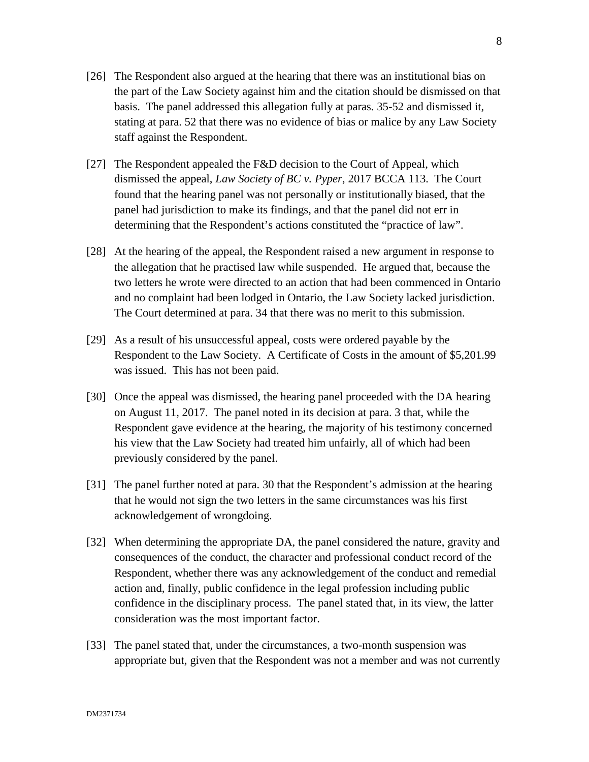- [26] The Respondent also argued at the hearing that there was an institutional bias on the part of the Law Society against him and the citation should be dismissed on that basis. The panel addressed this allegation fully at paras. 35-52 and dismissed it, stating at para. 52 that there was no evidence of bias or malice by any Law Society staff against the Respondent.
- [27] The Respondent appealed the F&D decision to the Court of Appeal, which dismissed the appeal, *Law Society of BC v. Pyper*, 2017 BCCA 113. The Court found that the hearing panel was not personally or institutionally biased, that the panel had jurisdiction to make its findings, and that the panel did not err in determining that the Respondent's actions constituted the "practice of law".
- [28] At the hearing of the appeal, the Respondent raised a new argument in response to the allegation that he practised law while suspended. He argued that, because the two letters he wrote were directed to an action that had been commenced in Ontario and no complaint had been lodged in Ontario, the Law Society lacked jurisdiction. The Court determined at para. 34 that there was no merit to this submission.
- [29] As a result of his unsuccessful appeal, costs were ordered payable by the Respondent to the Law Society. A Certificate of Costs in the amount of \$5,201.99 was issued. This has not been paid.
- [30] Once the appeal was dismissed, the hearing panel proceeded with the DA hearing on August 11, 2017. The panel noted in its decision at para. 3 that, while the Respondent gave evidence at the hearing, the majority of his testimony concerned his view that the Law Society had treated him unfairly, all of which had been previously considered by the panel.
- [31] The panel further noted at para. 30 that the Respondent's admission at the hearing that he would not sign the two letters in the same circumstances was his first acknowledgement of wrongdoing.
- [32] When determining the appropriate DA, the panel considered the nature, gravity and consequences of the conduct, the character and professional conduct record of the Respondent, whether there was any acknowledgement of the conduct and remedial action and, finally, public confidence in the legal profession including public confidence in the disciplinary process. The panel stated that, in its view, the latter consideration was the most important factor.
- [33] The panel stated that, under the circumstances, a two-month suspension was appropriate but, given that the Respondent was not a member and was not currently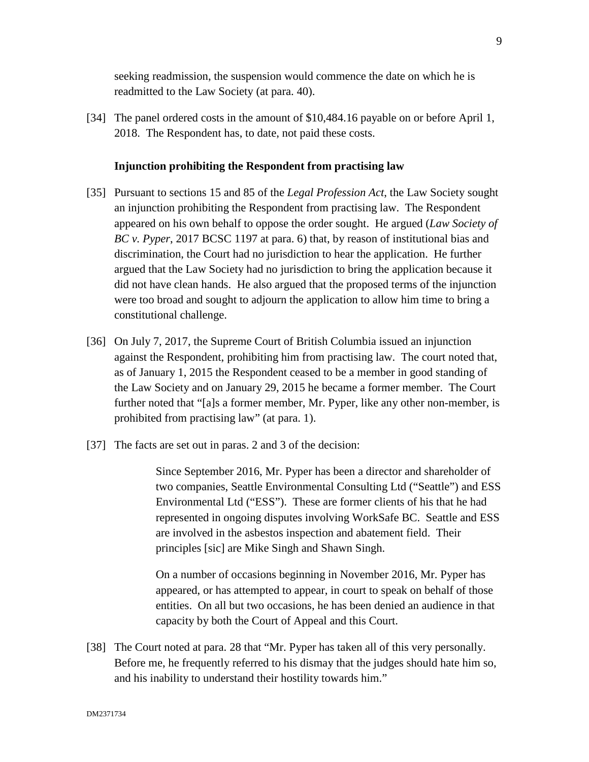seeking readmission, the suspension would commence the date on which he is readmitted to the Law Society (at para. 40).

[34] The panel ordered costs in the amount of \$10,484.16 payable on or before April 1, 2018. The Respondent has, to date, not paid these costs.

## **Injunction prohibiting the Respondent from practising law**

- [35] Pursuant to sections 15 and 85 of the *Legal Profession Act*, the Law Society sought an injunction prohibiting the Respondent from practising law. The Respondent appeared on his own behalf to oppose the order sought. He argued (*Law Society of BC v. Pyper*, 2017 BCSC 1197 at para. 6) that, by reason of institutional bias and discrimination, the Court had no jurisdiction to hear the application. He further argued that the Law Society had no jurisdiction to bring the application because it did not have clean hands. He also argued that the proposed terms of the injunction were too broad and sought to adjourn the application to allow him time to bring a constitutional challenge.
- [36] On July 7, 2017, the Supreme Court of British Columbia issued an injunction against the Respondent, prohibiting him from practising law. The court noted that, as of January 1, 2015 the Respondent ceased to be a member in good standing of the Law Society and on January 29, 2015 he became a former member. The Court further noted that "[a]s a former member, Mr. Pyper, like any other non-member, is prohibited from practising law" (at para. 1).
- [37] The facts are set out in paras. 2 and 3 of the decision:

Since September 2016, Mr. Pyper has been a director and shareholder of two companies, Seattle Environmental Consulting Ltd ("Seattle") and ESS Environmental Ltd ("ESS"). These are former clients of his that he had represented in ongoing disputes involving WorkSafe BC. Seattle and ESS are involved in the asbestos inspection and abatement field. Their principles [sic] are Mike Singh and Shawn Singh.

On a number of occasions beginning in November 2016, Mr. Pyper has appeared, or has attempted to appear, in court to speak on behalf of those entities. On all but two occasions, he has been denied an audience in that capacity by both the Court of Appeal and this Court.

[38] The Court noted at para. 28 that "Mr. Pyper has taken all of this very personally. Before me, he frequently referred to his dismay that the judges should hate him so, and his inability to understand their hostility towards him."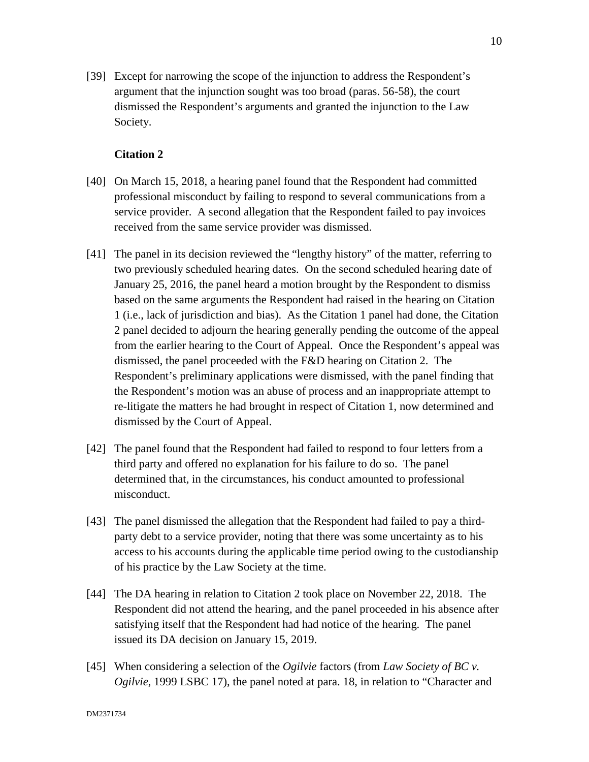[39] Except for narrowing the scope of the injunction to address the Respondent's argument that the injunction sought was too broad (paras. 56-58), the court dismissed the Respondent's arguments and granted the injunction to the Law Society.

# **Citation 2**

- [40] On March 15, 2018, a hearing panel found that the Respondent had committed professional misconduct by failing to respond to several communications from a service provider. A second allegation that the Respondent failed to pay invoices received from the same service provider was dismissed.
- [41] The panel in its decision reviewed the "lengthy history" of the matter, referring to two previously scheduled hearing dates. On the second scheduled hearing date of January 25, 2016, the panel heard a motion brought by the Respondent to dismiss based on the same arguments the Respondent had raised in the hearing on Citation 1 (i.e., lack of jurisdiction and bias). As the Citation 1 panel had done, the Citation 2 panel decided to adjourn the hearing generally pending the outcome of the appeal from the earlier hearing to the Court of Appeal. Once the Respondent's appeal was dismissed, the panel proceeded with the F&D hearing on Citation 2. The Respondent's preliminary applications were dismissed, with the panel finding that the Respondent's motion was an abuse of process and an inappropriate attempt to re-litigate the matters he had brought in respect of Citation 1, now determined and dismissed by the Court of Appeal.
- [42] The panel found that the Respondent had failed to respond to four letters from a third party and offered no explanation for his failure to do so. The panel determined that, in the circumstances, his conduct amounted to professional misconduct.
- [43] The panel dismissed the allegation that the Respondent had failed to pay a thirdparty debt to a service provider, noting that there was some uncertainty as to his access to his accounts during the applicable time period owing to the custodianship of his practice by the Law Society at the time.
- [44] The DA hearing in relation to Citation 2 took place on November 22, 2018. The Respondent did not attend the hearing, and the panel proceeded in his absence after satisfying itself that the Respondent had had notice of the hearing. The panel issued its DA decision on January 15, 2019.
- [45] When considering a selection of the *Ogilvie* factors (from *Law Society of BC v. Ogilvie*, 1999 LSBC 17), the panel noted at para. 18, in relation to "Character and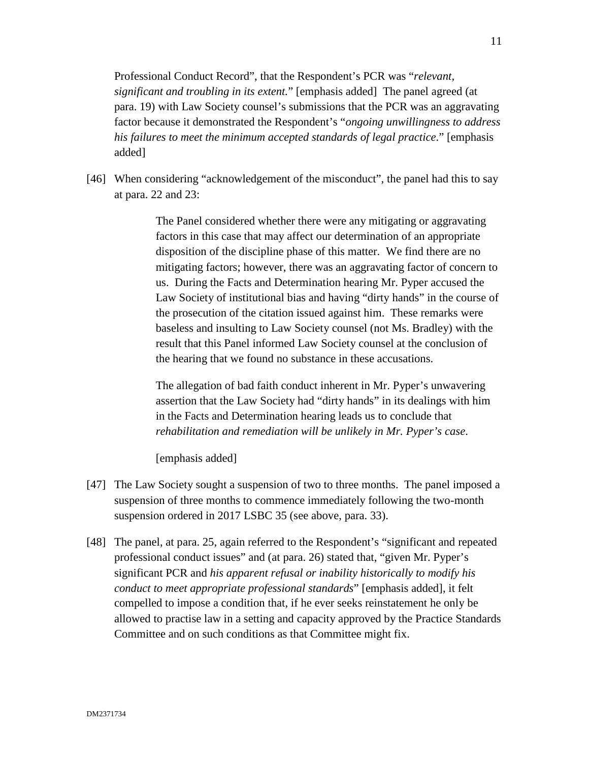Professional Conduct Record", that the Respondent's PCR was "*relevant, significant and troubling in its extent.*" [emphasis added] The panel agreed (at para. 19) with Law Society counsel's submissions that the PCR was an aggravating factor because it demonstrated the Respondent's "*ongoing unwillingness to address his failures to meet the minimum accepted standards of legal practice*." [emphasis added]

[46] When considering "acknowledgement of the misconduct", the panel had this to say at para. 22 and 23:

> The Panel considered whether there were any mitigating or aggravating factors in this case that may affect our determination of an appropriate disposition of the discipline phase of this matter. We find there are no mitigating factors; however, there was an aggravating factor of concern to us. During the Facts and Determination hearing Mr. Pyper accused the Law Society of institutional bias and having "dirty hands" in the course of the prosecution of the citation issued against him. These remarks were baseless and insulting to Law Society counsel (not Ms. Bradley) with the result that this Panel informed Law Society counsel at the conclusion of the hearing that we found no substance in these accusations.

The allegation of bad faith conduct inherent in Mr. Pyper's unwavering assertion that the Law Society had "dirty hands" in its dealings with him in the Facts and Determination hearing leads us to conclude that *rehabilitation and remediation will be unlikely in Mr. Pyper's case*.

[emphasis added]

- [47] The Law Society sought a suspension of two to three months. The panel imposed a suspension of three months to commence immediately following the two-month suspension ordered in 2017 LSBC 35 (see above, para. 33).
- [48] The panel, at para. 25, again referred to the Respondent's "significant and repeated professional conduct issues" and (at para. 26) stated that, "given Mr. Pyper's significant PCR and *his apparent refusal or inability historically to modify his conduct to meet appropriate professional standards*" [emphasis added], it felt compelled to impose a condition that, if he ever seeks reinstatement he only be allowed to practise law in a setting and capacity approved by the Practice Standards Committee and on such conditions as that Committee might fix.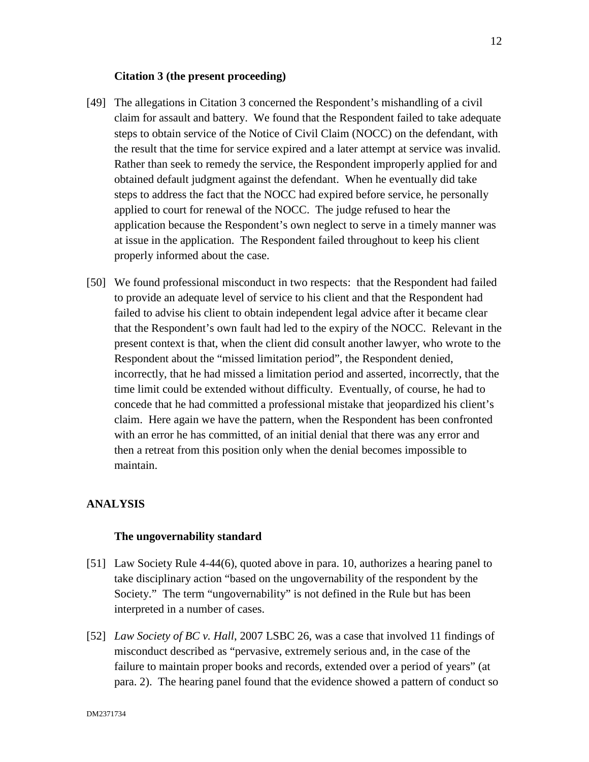#### **Citation 3 (the present proceeding)**

- [49] The allegations in Citation 3 concerned the Respondent's mishandling of a civil claim for assault and battery. We found that the Respondent failed to take adequate steps to obtain service of the Notice of Civil Claim (NOCC) on the defendant, with the result that the time for service expired and a later attempt at service was invalid. Rather than seek to remedy the service, the Respondent improperly applied for and obtained default judgment against the defendant. When he eventually did take steps to address the fact that the NOCC had expired before service, he personally applied to court for renewal of the NOCC. The judge refused to hear the application because the Respondent's own neglect to serve in a timely manner was at issue in the application. The Respondent failed throughout to keep his client properly informed about the case.
- [50] We found professional misconduct in two respects: that the Respondent had failed to provide an adequate level of service to his client and that the Respondent had failed to advise his client to obtain independent legal advice after it became clear that the Respondent's own fault had led to the expiry of the NOCC. Relevant in the present context is that, when the client did consult another lawyer, who wrote to the Respondent about the "missed limitation period", the Respondent denied, incorrectly, that he had missed a limitation period and asserted, incorrectly, that the time limit could be extended without difficulty. Eventually, of course, he had to concede that he had committed a professional mistake that jeopardized his client's claim. Here again we have the pattern, when the Respondent has been confronted with an error he has committed, of an initial denial that there was any error and then a retreat from this position only when the denial becomes impossible to maintain.

# **ANALYSIS**

#### **The ungovernability standard**

- [51] Law Society Rule 4-44(6), quoted above in para. 10, authorizes a hearing panel to take disciplinary action "based on the ungovernability of the respondent by the Society." The term "ungovernability" is not defined in the Rule but has been interpreted in a number of cases.
- [52] *Law Society of BC v. Hall*, 2007 LSBC 26, was a case that involved 11 findings of misconduct described as "pervasive, extremely serious and, in the case of the failure to maintain proper books and records, extended over a period of years" (at para. 2). The hearing panel found that the evidence showed a pattern of conduct so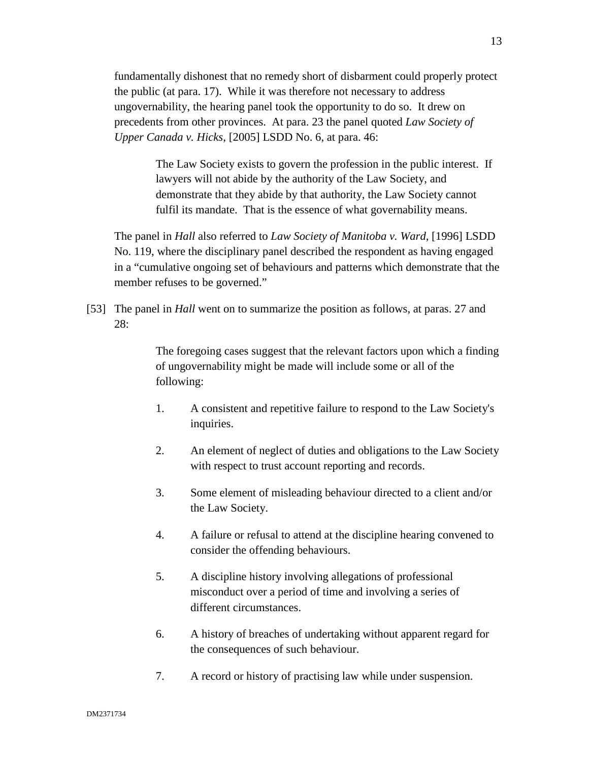fundamentally dishonest that no remedy short of disbarment could properly protect the public (at para. 17). While it was therefore not necessary to address ungovernability, the hearing panel took the opportunity to do so. It drew on precedents from other provinces. At para. 23 the panel quoted *Law Society of Upper Canada v. Hicks*, [2005] LSDD No. 6, at para. 46:

> The Law Society exists to govern the profession in the public interest. If lawyers will not abide by the authority of the Law Society, and demonstrate that they abide by that authority, the Law Society cannot fulfil its mandate. That is the essence of what governability means.

The panel in *Hall* also referred to *Law Society of Manitoba v. Ward*, [1996] LSDD No. 119, where the disciplinary panel described the respondent as having engaged in a "cumulative ongoing set of behaviours and patterns which demonstrate that the member refuses to be governed."

[53] The panel in *Hall* went on to summarize the position as follows, at paras. 27 and 28:

> The foregoing cases suggest that the relevant factors upon which a finding of ungovernability might be made will include some or all of the following:

- 1. A consistent and repetitive failure to respond to the Law Society's inquiries.
- 2. An element of neglect of duties and obligations to the Law Society with respect to trust account reporting and records.
- 3. Some element of misleading behaviour directed to a client and/or the Law Society.
- 4. A failure or refusal to attend at the discipline hearing convened to consider the offending behaviours.
- 5. A discipline history involving allegations of professional misconduct over a period of time and involving a series of different circumstances.
- 6. A history of breaches of undertaking without apparent regard for the consequences of such behaviour.
- 7. A record or history of practising law while under suspension.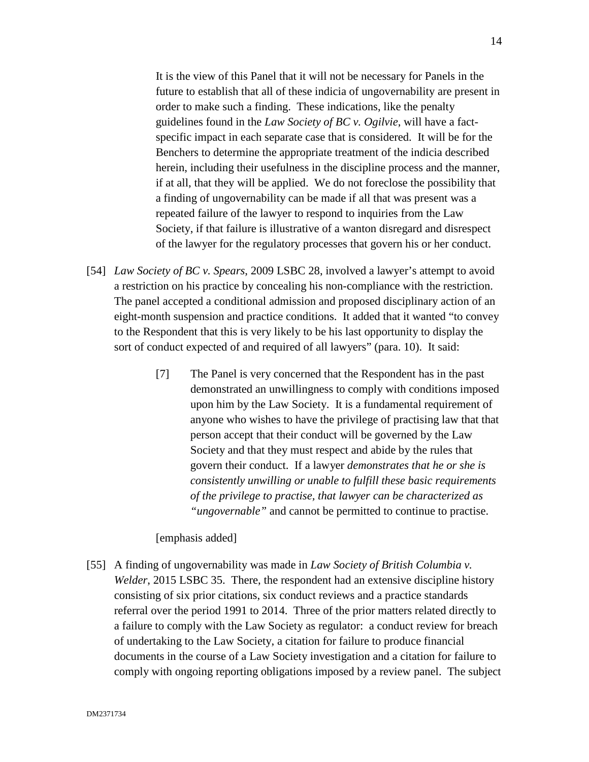It is the view of this Panel that it will not be necessary for Panels in the future to establish that all of these indicia of ungovernability are present in order to make such a finding. These indications, like the penalty guidelines found in the *Law Society of BC v. Ogilvie*, will have a factspecific impact in each separate case that is considered. It will be for the Benchers to determine the appropriate treatment of the indicia described herein, including their usefulness in the discipline process and the manner, if at all, that they will be applied. We do not foreclose the possibility that a finding of ungovernability can be made if all that was present was a repeated failure of the lawyer to respond to inquiries from the Law Society, if that failure is illustrative of a wanton disregard and disrespect of the lawyer for the regulatory processes that govern his or her conduct.

- [54] *Law Society of BC v. Spears*, 2009 LSBC 28, involved a lawyer's attempt to avoid a restriction on his practice by concealing his non-compliance with the restriction. The panel accepted a conditional admission and proposed disciplinary action of an eight-month suspension and practice conditions. It added that it wanted "to convey to the Respondent that this is very likely to be his last opportunity to display the sort of conduct expected of and required of all lawyers" (para. 10). It said:
	- [7] The Panel is very concerned that the Respondent has in the past demonstrated an unwillingness to comply with conditions imposed upon him by the Law Society. It is a fundamental requirement of anyone who wishes to have the privilege of practising law that that person accept that their conduct will be governed by the Law Society and that they must respect and abide by the rules that govern their conduct. If a lawyer *demonstrates that he or she is consistently unwilling or unable to fulfill these basic requirements of the privilege to practise, that lawyer can be characterized as "ungovernable"* and cannot be permitted to continue to practise.

# [emphasis added]

[55] A finding of ungovernability was made in *Law Society of British Columbia v. Welder*, 2015 LSBC 35. There, the respondent had an extensive discipline history consisting of six prior citations, six conduct reviews and a practice standards referral over the period 1991 to 2014. Three of the prior matters related directly to a failure to comply with the Law Society as regulator: a conduct review for breach of undertaking to the Law Society, a citation for failure to produce financial documents in the course of a Law Society investigation and a citation for failure to comply with ongoing reporting obligations imposed by a review panel. The subject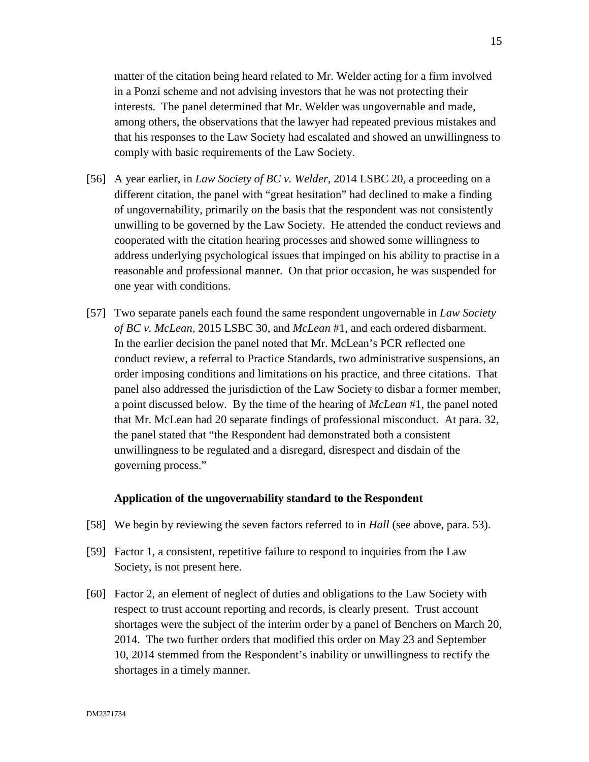matter of the citation being heard related to Mr. Welder acting for a firm involved in a Ponzi scheme and not advising investors that he was not protecting their interests. The panel determined that Mr. Welder was ungovernable and made, among others, the observations that the lawyer had repeated previous mistakes and that his responses to the Law Society had escalated and showed an unwillingness to comply with basic requirements of the Law Society.

- [56] A year earlier, in *Law Society of BC v. Welder*, 2014 LSBC 20, a proceeding on a different citation, the panel with "great hesitation" had declined to make a finding of ungovernability, primarily on the basis that the respondent was not consistently unwilling to be governed by the Law Society. He attended the conduct reviews and cooperated with the citation hearing processes and showed some willingness to address underlying psychological issues that impinged on his ability to practise in a reasonable and professional manner. On that prior occasion, he was suspended for one year with conditions.
- [57] Two separate panels each found the same respondent ungovernable in *Law Society of BC v. McLean*, 2015 LSBC 30, and *McLean* #1, and each ordered disbarment. In the earlier decision the panel noted that Mr. McLean's PCR reflected one conduct review, a referral to Practice Standards, two administrative suspensions, an order imposing conditions and limitations on his practice, and three citations. That panel also addressed the jurisdiction of the Law Society to disbar a former member, a point discussed below. By the time of the hearing of *McLean* #1, the panel noted that Mr. McLean had 20 separate findings of professional misconduct. At para. 32, the panel stated that "the Respondent had demonstrated both a consistent unwillingness to be regulated and a disregard, disrespect and disdain of the governing process."

#### **Application of the ungovernability standard to the Respondent**

- [58] We begin by reviewing the seven factors referred to in *Hall* (see above, para. 53).
- [59] Factor 1, a consistent, repetitive failure to respond to inquiries from the Law Society, is not present here.
- [60] Factor 2, an element of neglect of duties and obligations to the Law Society with respect to trust account reporting and records, is clearly present. Trust account shortages were the subject of the interim order by a panel of Benchers on March 20, 2014. The two further orders that modified this order on May 23 and September 10, 2014 stemmed from the Respondent's inability or unwillingness to rectify the shortages in a timely manner.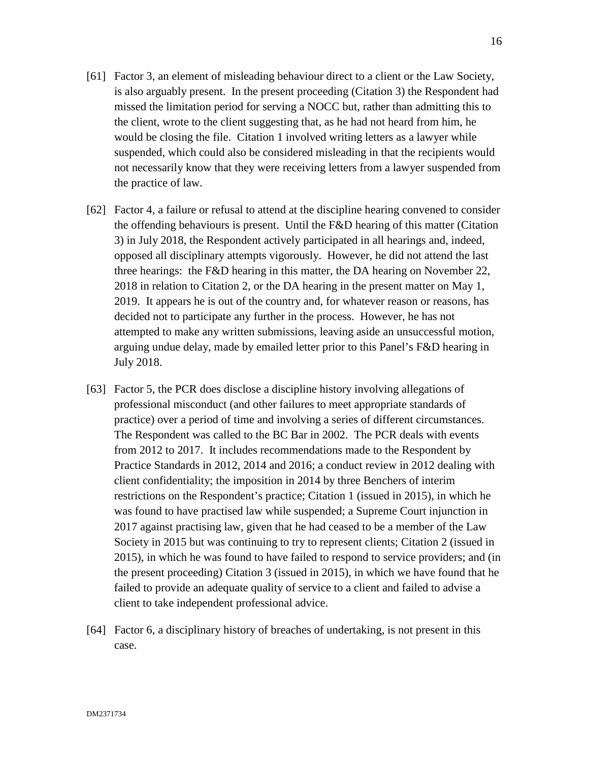- [61] Factor 3, an element of misleading behaviour direct to a client or the Law Society, is also arguably present. In the present proceeding (Citation 3) the Respondent had missed the limitation period for serving a NOCC but, rather than admitting this to the client, wrote to the client suggesting that, as he had not heard from him, he would be closing the file. Citation 1 involved writing letters as a lawyer while suspended, which could also be considered misleading in that the recipients would not necessarily know that they were receiving letters from a lawyer suspended from the practice of law.
- [62] Factor 4, a failure or refusal to attend at the discipline hearing convened to consider the offending behaviours is present. Until the F&D hearing of this matter (Citation 3) in July 2018, the Respondent actively participated in all hearings and, indeed, opposed all disciplinary attempts vigorously. However, he did not attend the last three hearings: the F&D hearing in this matter, the DA hearing on November 22, 2018 in relation to Citation 2, or the DA hearing in the present matter on May 1, 2019. It appears he is out of the country and, for whatever reason or reasons, has decided not to participate any further in the process. However, he has not attempted to make any written submissions, leaving aside an unsuccessful motion, arguing undue delay, made by emailed letter prior to this Panel's F&D hearing in July 2018.
- [63] Factor 5, the PCR does disclose a discipline history involving allegations of professional misconduct (and other failures to meet appropriate standards of practice) over a period of time and involving a series of different circumstances. The Respondent was called to the BC Bar in 2002. The PCR deals with events from 2012 to 2017. It includes recommendations made to the Respondent by Practice Standards in 2012, 2014 and 2016; a conduct review in 2012 dealing with client confidentiality; the imposition in 2014 by three Benchers of interim restrictions on the Respondent's practice; Citation 1 (issued in 2015), in which he was found to have practised law while suspended; a Supreme Court injunction in 2017 against practising law, given that he had ceased to be a member of the Law Society in 2015 but was continuing to try to represent clients; Citation 2 (issued in 2015), in which he was found to have failed to respond to service providers; and (in the present proceeding) Citation 3 (issued in 2015), in which we have found that he failed to provide an adequate quality of service to a client and failed to advise a client to take independent professional advice.
- [64] Factor 6, a disciplinary history of breaches of undertaking, is not present in this case.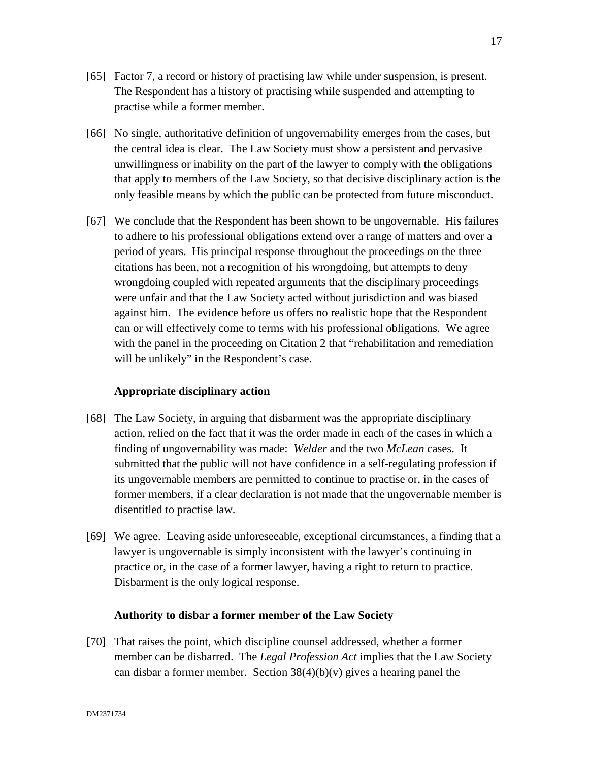- [65] Factor 7, a record or history of practising law while under suspension, is present. The Respondent has a history of practising while suspended and attempting to practise while a former member.
- [66] No single, authoritative definition of ungovernability emerges from the cases, but the central idea is clear. The Law Society must show a persistent and pervasive unwillingness or inability on the part of the lawyer to comply with the obligations that apply to members of the Law Society, so that decisive disciplinary action is the only feasible means by which the public can be protected from future misconduct.
- [67] We conclude that the Respondent has been shown to be ungovernable. His failures to adhere to his professional obligations extend over a range of matters and over a period of years. His principal response throughout the proceedings on the three citations has been, not a recognition of his wrongdoing, but attempts to deny wrongdoing coupled with repeated arguments that the disciplinary proceedings were unfair and that the Law Society acted without jurisdiction and was biased against him. The evidence before us offers no realistic hope that the Respondent can or will effectively come to terms with his professional obligations. We agree with the panel in the proceeding on Citation 2 that "rehabilitation and remediation will be unlikely" in the Respondent's case.

# **Appropriate disciplinary action**

- [68] The Law Society, in arguing that disbarment was the appropriate disciplinary action, relied on the fact that it was the order made in each of the cases in which a finding of ungovernability was made: *Welder* and the two *McLean* cases. It submitted that the public will not have confidence in a self-regulating profession if its ungovernable members are permitted to continue to practise or, in the cases of former members, if a clear declaration is not made that the ungovernable member is disentitled to practise law.
- [69] We agree. Leaving aside unforeseeable, exceptional circumstances, a finding that a lawyer is ungovernable is simply inconsistent with the lawyer's continuing in practice or, in the case of a former lawyer, having a right to return to practice. Disbarment is the only logical response.

# **Authority to disbar a former member of the Law Society**

[70] That raises the point, which discipline counsel addressed, whether a former member can be disbarred. The *Legal Profession Act* implies that the Law Society can disbar a former member. Section  $38(4)(b)(v)$  gives a hearing panel the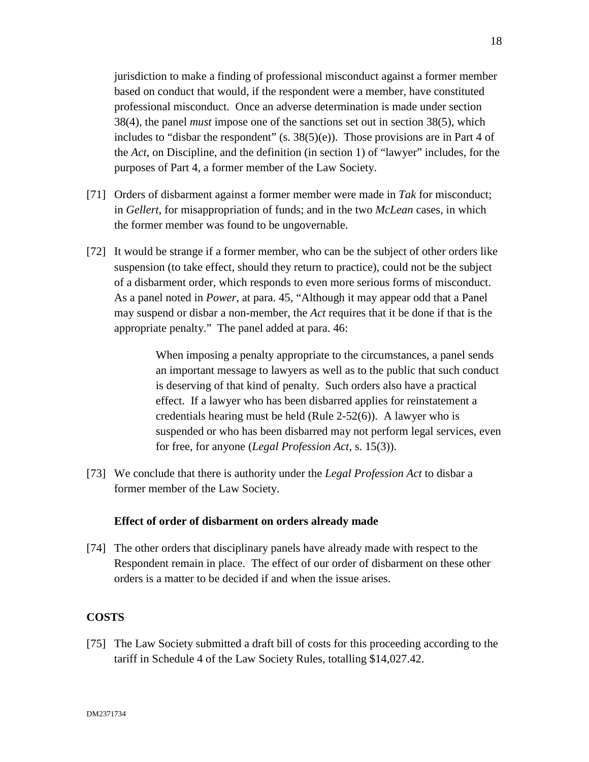jurisdiction to make a finding of professional misconduct against a former member based on conduct that would, if the respondent were a member, have constituted professional misconduct. Once an adverse determination is made under section 38(4), the panel *must* impose one of the sanctions set out in section 38(5), which includes to "disbar the respondent"  $(s. 38(5)(e))$ . Those provisions are in Part 4 of the *Act*, on Discipline, and the definition (in section 1) of "lawyer" includes, for the purposes of Part 4, a former member of the Law Society.

- [71] Orders of disbarment against a former member were made in *Tak* for misconduct; in *Gellert*, for misappropriation of funds; and in the two *McLean* cases, in which the former member was found to be ungovernable.
- [72] It would be strange if a former member, who can be the subject of other orders like suspension (to take effect, should they return to practice), could not be the subject of a disbarment order, which responds to even more serious forms of misconduct. As a panel noted in *Power*, at para. 45, "Although it may appear odd that a Panel may suspend or disbar a non-member, the *Act* requires that it be done if that is the appropriate penalty." The panel added at para. 46:

When imposing a penalty appropriate to the circumstances, a panel sends an important message to lawyers as well as to the public that such conduct is deserving of that kind of penalty. Such orders also have a practical effect. If a lawyer who has been disbarred applies for reinstatement a credentials hearing must be held (Rule 2-52(6)). A lawyer who is suspended or who has been disbarred may not perform legal services, even for free, for anyone (*Legal Profession Act*, s. 15(3)).

[73] We conclude that there is authority under the *Legal Profession Act* to disbar a former member of the Law Society.

# **Effect of order of disbarment on orders already made**

[74] The other orders that disciplinary panels have already made with respect to the Respondent remain in place. The effect of our order of disbarment on these other orders is a matter to be decided if and when the issue arises.

# **COSTS**

[75] The Law Society submitted a draft bill of costs for this proceeding according to the tariff in Schedule 4 of the Law Society Rules, totalling \$14,027.42.